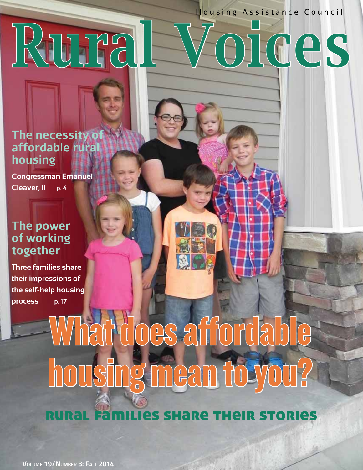Housing Assistance Council

October 2014 1



**The necessity of affordable rural housing**

**Congressman Emanuel Cleaver, II p. 4**

## **The power of working together**

**Three families share**  the self-help housing **process** p.17 **process p. 17**

## What does affordable housing mean to you?

are their stories

VOLUME 19/NUMBER 3: FALL 2014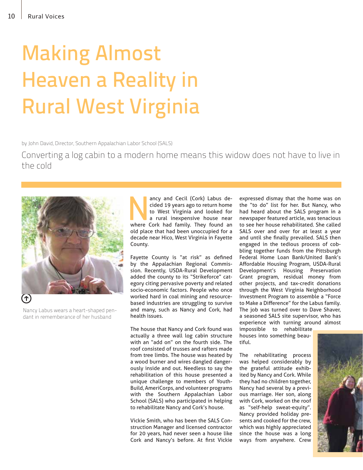## Making Almost **Rural West Virginia** Rural West Virginia

by John David, Director, Southern Appalachian Labor School (SALS)

Converting a log cabin to a modern home means this widow does not have to live in the cold



Nancy Labus wears a heart-shaped pendant in rememberance of her husband

ancy and Cecil (Cork) Labus decided 19 years ago to return home<br>to West Virginia and looked for<br>a rural inexpensive house near<br>where Cork had family. They found an ancy and Cecil (Cork) Labus decided 19 years ago to return home to West Virginia and looked for a rural inexpensive house near old place that had been unoccupied for a decade near Hico, West Virginia in Fayette County.

Fayette County is "at risk" as defined by the Appalachian Regional Commission. Recently, USDA-Rural Development added the county to its "Strikeforce" category citing pervasive poverty and related socio-economic factors. People who once worked hard in coal mining and resourcebased industries are struggling to survive and many, such as Nancy and Cork, had health issues.

The house that Nancy and Cork found was actually a three wall log cabin structure with an "add on" on the fourth side. The roof consisted of trusses and rafters made from tree limbs. The house was heated by a wood burner and wires dangled dangerously inside and out. Needless to say the rehabilitation of this house presented a unique challenge to members of Youth-Build, AmeriCorps, and volunteer programs with the Southern Appalachian Labor School (SALS) who participated in helping to rehabilitate Nancy and Cork's house.

Vickie Smith, who has been the SALS Construction Manager and licensed contractor for 20 years, had never seen a house like Cork and Nancy's before. At first Vickie expressed dismay that the home was on the "to do" list for her. But Nancy, who had heard about the SALS program in a newspaper featured article, was tenacious to see her house rehabilitated. She called SALS over and over for at least a year and until she finally prevailed. SALS then engaged in the tedious process of cobbling together funds from the Pittsburgh Federal Home Loan Bank/United Bank's Affordable Housing Program, USDA-Rural Development's Housing Preservation Grant program, residual money from other projects, and tax-credit donations through the West Virginia Neighborhood Investment Program to assemble a "Force to Make a Difference" for the Labus family. The job was turned over to Dave Shaver, a seasoned SALS site supervisor, who has experience with turning around almost

impossible to rehabilitate houses into something beautiful.

The rehabilitating process was helped considerably by the grateful attitude exhibited by Nancy and Cork. While they had no children together, Nancy had several by a previous marriage. Her son, along with Cork, worked on the roof as "self-help sweat-equity". Nancy provided holiday presents and cooked for the crew, which was highly appreciated since the house was a long ways from anywhere. Crew